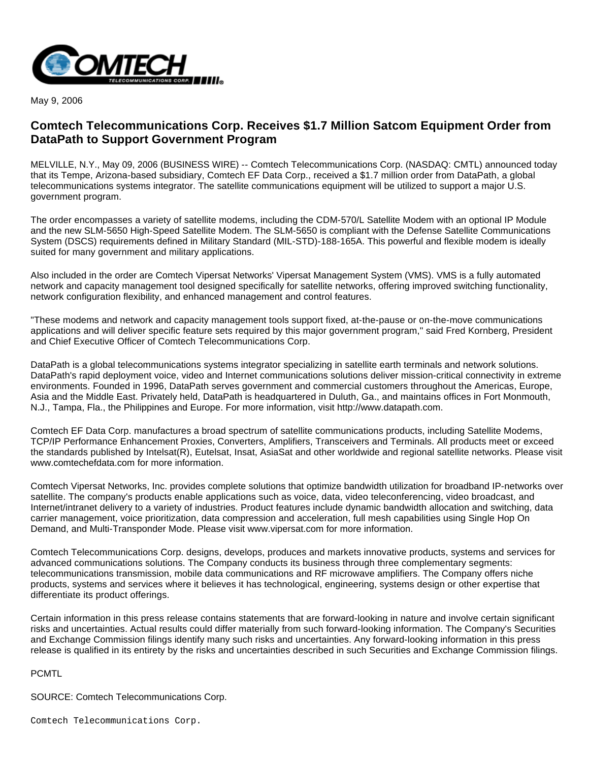

May 9, 2006

## **Comtech Telecommunications Corp. Receives \$1.7 Million Satcom Equipment Order from DataPath to Support Government Program**

MELVILLE, N.Y., May 09, 2006 (BUSINESS WIRE) -- Comtech Telecommunications Corp. (NASDAQ: CMTL) announced today that its Tempe, Arizona-based subsidiary, Comtech EF Data Corp., received a \$1.7 million order from DataPath, a global telecommunications systems integrator. The satellite communications equipment will be utilized to support a major U.S. government program.

The order encompasses a variety of satellite modems, including the CDM-570/L Satellite Modem with an optional IP Module and the new SLM-5650 High-Speed Satellite Modem. The SLM-5650 is compliant with the Defense Satellite Communications System (DSCS) requirements defined in Military Standard (MIL-STD)-188-165A. This powerful and flexible modem is ideally suited for many government and military applications.

Also included in the order are Comtech Vipersat Networks' Vipersat Management System (VMS). VMS is a fully automated network and capacity management tool designed specifically for satellite networks, offering improved switching functionality, network configuration flexibility, and enhanced management and control features.

"These modems and network and capacity management tools support fixed, at-the-pause or on-the-move communications applications and will deliver specific feature sets required by this major government program," said Fred Kornberg, President and Chief Executive Officer of Comtech Telecommunications Corp.

DataPath is a global telecommunications systems integrator specializing in satellite earth terminals and network solutions. DataPath's rapid deployment voice, video and Internet communications solutions deliver mission-critical connectivity in extreme environments. Founded in 1996, DataPath serves government and commercial customers throughout the Americas, Europe, Asia and the Middle East. Privately held, DataPath is headquartered in Duluth, Ga., and maintains offices in Fort Monmouth, N.J., Tampa, Fla., the Philippines and Europe. For more information, visit http://www.datapath.com.

Comtech EF Data Corp. manufactures a broad spectrum of satellite communications products, including Satellite Modems, TCP/IP Performance Enhancement Proxies, Converters, Amplifiers, Transceivers and Terminals. All products meet or exceed the standards published by Intelsat(R), Eutelsat, Insat, AsiaSat and other worldwide and regional satellite networks. Please visit www.comtechefdata.com for more information.

Comtech Vipersat Networks, Inc. provides complete solutions that optimize bandwidth utilization for broadband IP-networks over satellite. The company's products enable applications such as voice, data, video teleconferencing, video broadcast, and Internet/intranet delivery to a variety of industries. Product features include dynamic bandwidth allocation and switching, data carrier management, voice prioritization, data compression and acceleration, full mesh capabilities using Single Hop On Demand, and Multi-Transponder Mode. Please visit www.vipersat.com for more information.

Comtech Telecommunications Corp. designs, develops, produces and markets innovative products, systems and services for advanced communications solutions. The Company conducts its business through three complementary segments: telecommunications transmission, mobile data communications and RF microwave amplifiers. The Company offers niche products, systems and services where it believes it has technological, engineering, systems design or other expertise that differentiate its product offerings.

Certain information in this press release contains statements that are forward-looking in nature and involve certain significant risks and uncertainties. Actual results could differ materially from such forward-looking information. The Company's Securities and Exchange Commission filings identify many such risks and uncertainties. Any forward-looking information in this press release is qualified in its entirety by the risks and uncertainties described in such Securities and Exchange Commission filings.

## PCMTL

SOURCE: Comtech Telecommunications Corp.